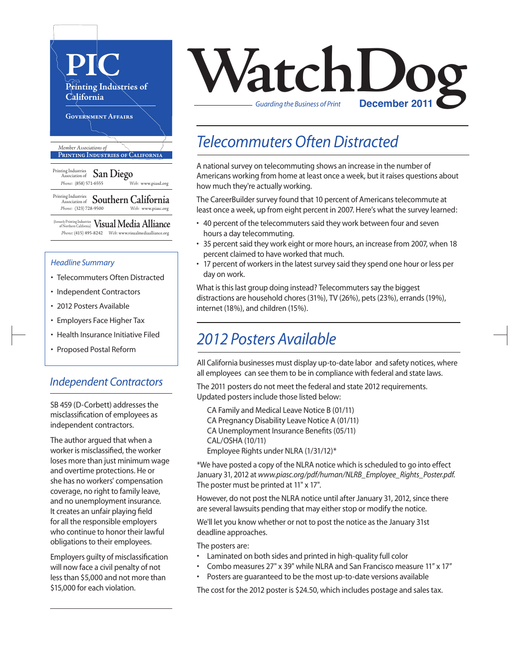

#### *Headline Summary*

- Telecommuters Often Distracted
- Independent Contractors
- 2012 Posters Available
- Employers Face Higher Tax
- Health Insurance Initiative Filed
- Proposed Postal Reform

### *Independent Contractors*

SB 459 (D-Corbett) addresses the misclassification of employees as independent contractors.

The author argued that when a worker is misclassified, the worker loses more than just minimum wage and overtime protections. He or she has no workers' compensation coverage, no right to family leave, and no unemployment insurance. It creates an unfair playing field for all the responsible employers who continue to honor their lawful obligations to their employees.

Employers guilty of misclassification will now face a civil penalty of not less than \$5,000 and not more than \$15,000 for each violation.



## *Telecommuters Often Distracted*

A national survey on telecommuting shows an increase in the number of Americans working from home at least once a week, but it raises questions about how much they're actually working.

The CareerBuilder survey found that 10 percent of Americans telecommute at least once a week, up from eight percent in 2007. Here's what the survey learned:

- 40 percent of the telecommuters said they work between four and seven hours a day telecommuting.
- 35 percent said they work eight or more hours, an increase from 2007, when 18 percent claimed to have worked that much.
- 17 percent of workers in the latest survey said they spend one hour or less per day on work.

What is this last group doing instead? Telecommuters say the biggest distractions are household chores (31%), TV (26%), pets (23%), errands (19%), internet (18%), and children (15%).

## *2012 Posters Available*

All California businesses must display up-to-date labor and safety notices, where all employees can see them to be in compliance with federal and state laws.

The 2011 posters do not meet the federal and state 2012 requirements. Updated posters include those listed below:

CA Family and Medical Leave Notice B (01/11) CA Pregnancy Disability Leave Notice A (01/11) CA Unemployment Insurance Benefits(05/11) CAL/OSHA (10/11) Employee Rights under NLRA (1/31/12)\*

\*We have posted a copy of the NLRA notice which isscheduled to go into effect January 31, 2012 at *www.piasc.org/pdf/human/NLRB\_Employee\_Rights\_Poster.pdf.* The poster must be printed at 11" x 17".

However, do not post the NLRA notice until after January 31, 2012, since there are several lawsuits pending that may either stop or modify the notice.

We'll let you know whether or not to post the notice as the January 31st deadline approaches.

The posters are:

- Laminated on both sides and printed in high-quality full color
- Combo measures 27" x 39" while NLRA and San Francisco measure 11" x 17"
- Posters are guaranteed to be the most up-to-date versions available

The cost for the 2012 poster is \$24.50, which includes postage and sales tax.